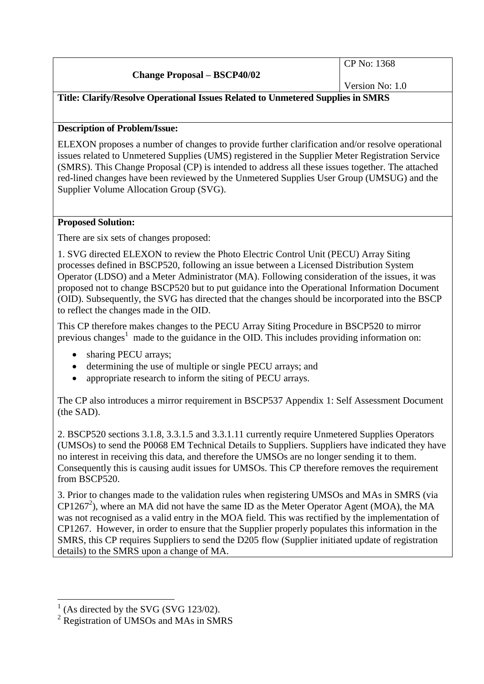|                                    | $\Gamma$ CP No: 1368 |
|------------------------------------|----------------------|
| <b>Change Proposal – BSCP40/02</b> |                      |
|                                    | Version No: $1.0$    |

# **Title: Clarify/Resolve Operational Issues Related to Unmetered Supplies in SMRS**

## **Description of Problem/Issue:**

ELEXON proposes a number of changes to provide further clarification and/or resolve operational issues related to Unmetered Supplies (UMS) registered in the Supplier Meter Registration Service (SMRS). This Change Proposal (CP) is intended to address all these issues together. The attached red-lined changes have been reviewed by the Unmetered Supplies User Group (UMSUG) and the Supplier Volume Allocation Group (SVG).

### **Proposed Solution:**

There are six sets of changes proposed:

1. SVG directed ELEXON to review the Photo Electric Control Unit (PECU) Array Siting processes defined in BSCP520, following an issue between a Licensed Distribution System Operator (LDSO) and a Meter Administrator (MA). Following consideration of the issues, it was proposed not to change BSCP520 but to put guidance into the Operational Information Document (OID). Subsequently, the SVG has directed that the changes should be incorporated into the BSCP to reflect the changes made in the OID.

This CP therefore makes changes to the PECU Array Siting Procedure in BSCP520 to mirror previous changes<sup>1</sup> made to the guidance in the OID. This includes providing information on:

- sharing PECU arrays;
- determining the use of multiple or single PECU arrays; and
- appropriate research to inform the siting of PECU arrays.

The CP also introduces a mirror requirement in BSCP537 Appendix 1: Self Assessment Document (the SAD).

2. BSCP520 sections 3.1.8, 3.3.1.5 and 3.3.1.11 currently require Unmetered Supplies Operators (UMSOs) to send the P0068 EM Technical Details to Suppliers. Suppliers have indicated they have no interest in receiving this data, and therefore the UMSOs are no longer sending it to them. Consequently this is causing audit issues for UMSOs. This CP therefore removes the requirement from BSCP520.

3. Prior to changes made to the validation rules when registering UMSOs and MAs in SMRS (via  $CP1267<sup>2</sup>$ ), where an MA did not have the same ID as the Meter Operator Agent (MOA), the MA was not recognised as a valid entry in the MOA field. This was rectified by the implementation of CP1267. However, in order to ensure that the Supplier properly populates this information in the SMRS, this CP requires Suppliers to send the D205 flow (Supplier initiated update of registration details) to the SMRS upon a change of MA.

 $\overline{a}$ 

<sup>1</sup> (As directed by the SVG (SVG 123/02).

<sup>&</sup>lt;sup>2</sup> Registration of UMSOs and MAs in SMRS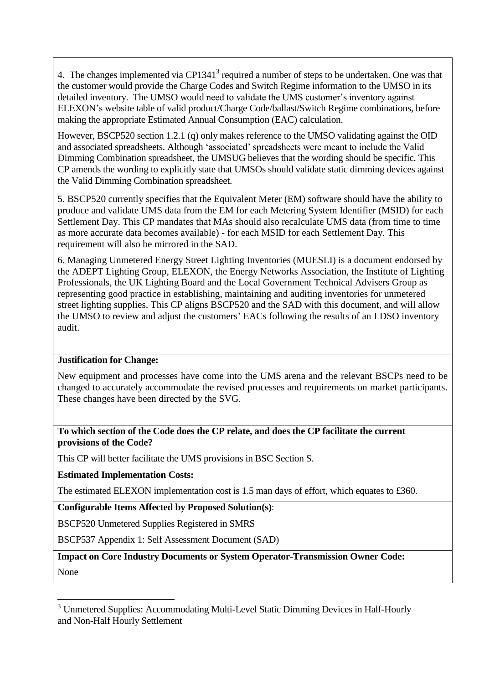4. The changes implemented via CP1341<sup>3</sup> required a number of steps to be undertaken. One was that the customer would provide the Charge Codes and Switch Regime information to the UMSO in its detailed inventory. The UMSO would need to validate the UMS customer's inventory against ELEXON's website table of valid product/Charge Code/ballast/Switch Regime combinations, before making the appropriate Estimated Annual Consumption (EAC) calculation.

However, BSCP520 section 1.2.1 (q) only makes reference to the UMSO validating against the OID and associated spreadsheets. Although 'associated' spreadsheets were meant to include the Valid Dimming Combination spreadsheet, the UMSUG believes that the wording should be specific. This CP amends the wording to explicitly state that UMSOs should validate static dimming devices against the Valid Dimming Combination spreadsheet.

5. BSCP520 currently specifies that the Equivalent Meter (EM) software should have the ability to produce and validate UMS data from the EM for each Metering System Identifier (MSID) for each Settlement Day. This CP mandates that MAs should also recalculate UMS data (from time to time as more accurate data becomes available) - for each MSID for each Settlement Day. This requirement will also be mirrored in the SAD.

6. Managing Unmetered Energy Street Lighting Inventories (MUESLI) is a document endorsed by the ADEPT Lighting Group, ELEXON, the Energy Networks Association, the Institute of Lighting Professionals, the UK Lighting Board and the Local Government Technical Advisers Group as representing good practice in establishing, maintaining and auditing inventories for unmetered street lighting supplies. This CP aligns BSCP520 and the SAD with this document, and will allow the UMSO to review and adjust the customers' EACs following the results of an LDSO inventory audit.

### **Justification for Change:**

New equipment and processes have come into the UMS arena and the relevant BSCPs need to be changed to accurately accommodate the revised processes and requirements on market participants. These changes have been directed by the SVG.

### **To which section of the Code does the CP relate, and does the CP facilitate the current provisions of the Code?**

This CP will better facilitate the UMS provisions in BSC Section S.

**Estimated Implementation Costs:**

 $\overline{a}$ 

The estimated ELEXON implementation cost is 1.5 man days of effort, which equates to £360.

**Configurable Items Affected by Proposed Solution(s)**:

BSCP520 Unmetered Supplies Registered in SMRS

BSCP537 Appendix 1: Self Assessment Document (SAD)

**Impact on Core Industry Documents or System Operator-Transmission Owner Code:** None

<sup>&</sup>lt;sup>3</sup> Unmetered Supplies: Accommodating Multi-Level Static Dimming Devices in Half-Hourly and Non-Half Hourly Settlement